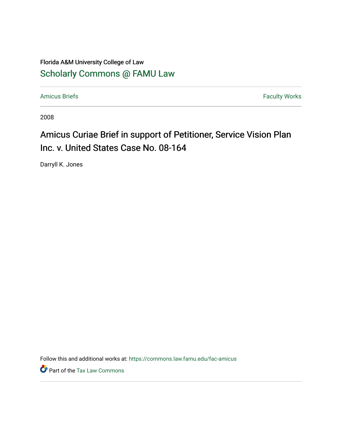# Florida A&M University College of Law [Scholarly Commons @ FAMU Law](https://commons.law.famu.edu/)

[Amicus Briefs](https://commons.law.famu.edu/fac-amicus) Faculty Works

2008

# Amicus Curiae Brief in support of Petitioner, Service Vision Plan Inc. v. United States Case No. 08-164

Darryll K. Jones

Follow this and additional works at: [https://commons.law.famu.edu/fac-amicus](https://commons.law.famu.edu/fac-amicus?utm_source=commons.law.famu.edu%2Ffac-amicus%2F7&utm_medium=PDF&utm_campaign=PDFCoverPages) 

Part of the [Tax Law Commons](https://network.bepress.com/hgg/discipline/898?utm_source=commons.law.famu.edu%2Ffac-amicus%2F7&utm_medium=PDF&utm_campaign=PDFCoverPages)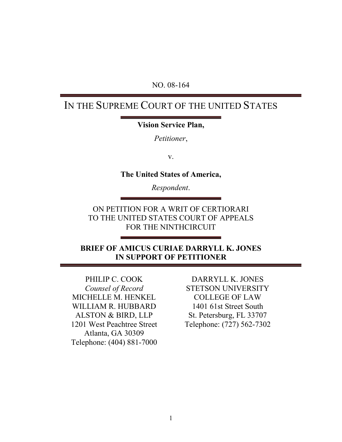### NO. 08-164

# IN THE SUPREME COURT OF THE UNITED STATES

### **Vision Service Plan,**

*Petitioner*,

v.

**The United States of America,**

*Respondent*.

ON PETITION FOR A WRIT OF CERTIORARI TO THE UNITED STATES COURT OF APPEALS FOR THE NINTHCIRCUIT

## **BRIEF OF AMICUS CURIAE DARRYLL K. JONES IN SUPPORT OF PETITIONER**

PHILIP C. COOK *Counsel of Record* MICHELLE M. HENKEL WILLIAM R. HUBBARD ALSTON & BIRD, LLP 1201 West Peachtree Street Atlanta, GA 30309 Telephone: (404) 881-7000

DARRYLL K. JONES STETSON UNIVERSITY COLLEGE OF LAW 1401 61st Street South St. Petersburg, FL 33707 Telephone: (727) 562-7302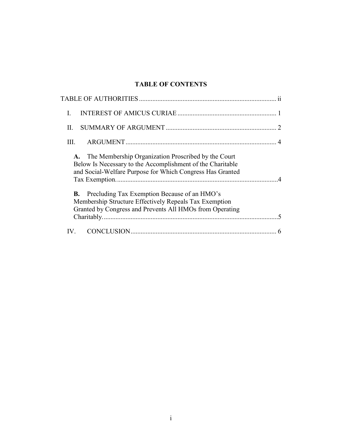# **TABLE OF CONTENTS**

| I.                                                                                                                                                                                          |
|---------------------------------------------------------------------------------------------------------------------------------------------------------------------------------------------|
| П.                                                                                                                                                                                          |
| HL.                                                                                                                                                                                         |
| The Membership Organization Proscribed by the Court<br><b>A.</b><br>Below Is Necessary to the Accomplishment of the Charitable<br>and Social-Welfare Purpose for Which Congress Has Granted |
| <b>B.</b> Precluding Tax Exemption Because of an HMO's<br>Membership Structure Effectively Repeals Tax Exemption<br>Granted by Congress and Prevents All HMOs from Operating                |
|                                                                                                                                                                                             |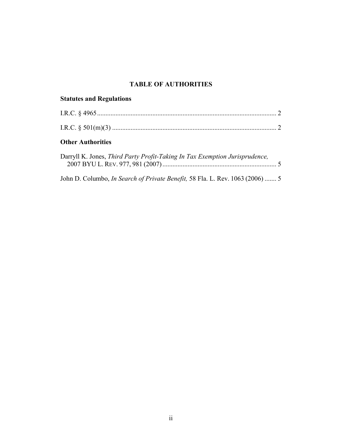### **TABLE OF AUTHORITIES**

# <span id="page-3-0"></span>**Statutes and Regulations**

## **Other Authorities**

| Darryll K. Jones, Third Party Profit-Taking In Tax Exemption Jurisprudence, |  |
|-----------------------------------------------------------------------------|--|
|                                                                             |  |
|                                                                             |  |

John D. Columbo, *In Search of Private Benefit,* 58 Fla. L. Rev. 1063 (2006) ....... 5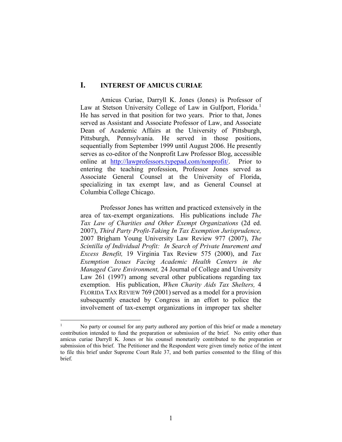#### <span id="page-4-0"></span>**I. INTEREST OF AMICUS CURIAE**

Amicus Curiae, Darryll K. Jones (Jones) is Professor of Law at Stetson University College of Law in Gulfport, Florida.<sup>[1](#page-4-1)</sup> He has served in that position for two years. Prior to that, Jones served as Assistant and Associate Professor of Law, and Associate Dean of Academic Affairs at the University of Pittsburgh, Pittsburgh, Pennsylvania. He served in those positions, sequentially from September 1999 until August 2006. He presently serves as co-editor of the Nonprofit Law Professor Blog, accessible online at [http://lawprofessors.typepad.com/nonprofit/.](http://lawprofessors.typepad.com/nonprofit/) Prior to entering the teaching profession, Professor Jones served as Associate General Counsel at the University of Florida, specializing in tax exempt law, and as General Counsel at Columbia College Chicago.

Professor Jones has written and practiced extensively in the area of tax-exempt organizations. His publications include *The Tax Law of Charities and Other Exempt Organizations* (2d ed. 2007), *Third Party Profit-Taking In Tax Exemption Jurisprudence,*  2007 Brigham Young University Law Review 977 (2007), *The Scintilla of Individual Profit: In Search of Private Inurement and Excess Benefit,* 19 Virginia Tax Review 575 (2000), and *Tax Exemption Issues Facing Academic Health Centers in the Managed Care Environment,* 24 Journal of College and University Law 261 (1997) among several other publications regarding tax exemption. His publication, *When Charity Aids Tax Shelters,* 4 FLORIDA TAX REVIEW 769 (2001) served as a model for a provision subsequently enacted by Congress in an effort to police the involvement of tax-exempt organizations in improper tax shelter

<span id="page-4-1"></span><sup>&</sup>lt;sup>1</sup> No party or counsel for any party authored any portion of this brief or made a monetary contribution intended to fund the preparation or submission of the brief. No entity other than amicus curiae Darryll K. Jones or his counsel monetarily contributed to the preparation or submission of this brief. The Petitioner and the Respondent were given timely notice of the intent to file this brief under Supreme Court Rule 37, and both parties consented to the filing of this brief.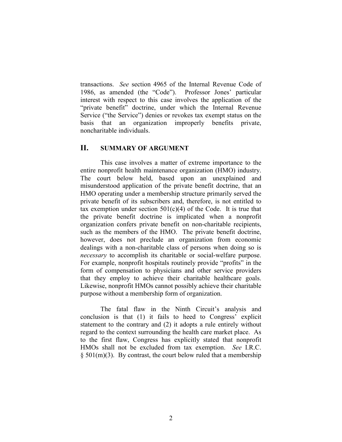transactions. *See* section 4965 of the Internal Revenue Code of 1986, as amended (the "Code"). Professor Jones' particular interest with respect to this case involves the application of the "private benefit" doctrine, under which the Internal Revenue Service ("the Service") denies or revokes tax exempt status on the basis that an organization improperly benefits private, noncharitable individuals.

#### <span id="page-5-0"></span>**II. SUMMARY OF ARGUMENT**

This case involves a matter of extreme importance to the entire nonprofit health maintenance organization (HMO) industry. The court below held, based upon an unexplained and misunderstood application of the private benefit doctrine, that an HMO operating under a membership structure primarily served the private benefit of its subscribers and, therefore, is not entitled to tax exemption under section  $501(c)(4)$  of the Code. It is true that the private benefit doctrine is implicated when a nonprofit organization confers private benefit on non-charitable recipients, such as the members of the HMO. The private benefit doctrine, however, does not preclude an organization from economic dealings with a non-charitable class of persons when doing so is *necessary* to accomplish its charitable or social-welfare purpose. For example, nonprofit hospitals routinely provide "profits" in the form of compensation to physicians and other service providers that they employ to achieve their charitable healthcare goals. Likewise, nonprofit HMOs cannot possibly achieve their charitable purpose without a membership form of organization.

The fatal flaw in the Ninth Circuit's analysis and conclusion is that (1) it fails to heed to Congress' explicit statement to the contrary and (2) it adopts a rule entirely without regard to the context surrounding the health care market place. As to the first flaw, Congress has explicitly stated that nonprofit HMOs shall not be excluded from tax exemption. *See* I.R.C.  $\S 501(m)(3)$ . By contrast, the court below ruled that a membership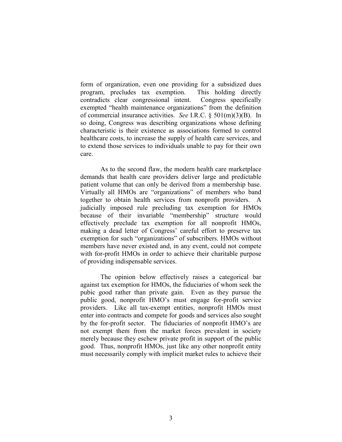form of organization, even one providing for a subsidized dues program, precludes tax exemption. This holding directly contradicts clear congressional intent. Congress specifically exempted "health maintenance organizations" from the definition of commercial insurance activities. *See* I.R.C. § 501(m)(3)(B). In so doing, Congress was describing organizations whose defining characteristic is their existence as associations formed to control healthcare costs, to increase the supply of health care services, and to extend those services to individuals unable to pay for their own care.

As to the second flaw, the modern health care marketplace demands that health care providers deliver large and predictable patient volume that can only be derived from a membership base. Virtually all HMOs are "organizations" of members who band together to obtain health services from nonprofit providers. A judicially imposed rule precluding tax exemption for HMOs because of their invariable "membership" structure would effectively preclude tax exemption for all nonprofit HMOs, making a dead letter of Congress' careful effort to preserve tax exemption for such "organizations" of subscribers. HMOs without members have never existed and, in any event, could not compete with for-profit HMOs in order to achieve their charitable purpose of providing indispensable services.

The opinion below effectively raises a categorical bar against tax exemption for HMOs, the fiduciaries of whom seek the pubic good rather than private gain. Even as they pursue the public good, nonprofit HMO's must engage for-profit service providers. Like all tax-exempt entities, nonprofit HMOs must enter into contracts and compete for goods and services also sought by the for-profit sector. The fiduciaries of nonprofit HMO's are not exempt them from the market forces prevalent in society merely because they eschew private profit in support of the public good. Thus, nonprofit HMOs, just like any other nonprofit entity must necessarily comply with implicit market rules to achieve their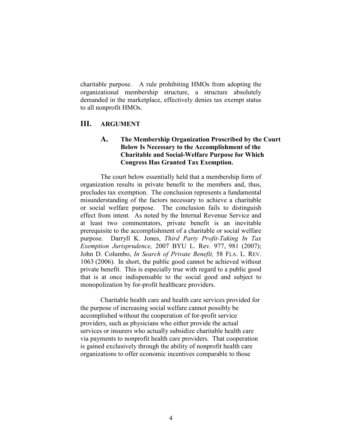charitable purpose. A rule prohibiting HMOs from adopting the organizational membership structure, a structure absolutely demanded in the marketplace, effectively denies tax exempt status to all nonprofit HMOs.

### <span id="page-7-1"></span><span id="page-7-0"></span>**III. ARGUMENT**

#### **A. The Membership Organization Proscribed by the Court Below Is Necessary to the Accomplishment of the Charitable and Social-Welfare Purpose for Which Congress Has Granted Tax Exemption.**

The court below essentially held that a membership form of organization results in private benefit to the members and, thus, precludes tax exemption. The conclusion represents a fundamental misunderstanding of the factors necessary to achieve a charitable or social welfare purpose. The conclusion fails to distinguish effect from intent. As noted by the Internal Revenue Service and at least two commentators, private benefit is an inevitable prerequisite to the accomplishment of a charitable or social welfare purpose. Darryll K. Jones, *Third Party Profit-Taking In Tax Exemption Jurisprudence,* 2007 BYU L. Rev. 977, 981 (2007); John D. Columbo, *In Search of Private Benefit,* 58 FLA. L. REV. 1063 (2006). In short, the public good cannot be achieved without private benefit. This is especially true with regard to a public good that is at once indispensable to the social good and subject to monopolization by for-profit healthcare providers.

Charitable health care and health care services provided for the purpose of increasing social welfare cannot possibly be accomplished without the cooperation of for-profit service providers, such as physicians who either provide the actual services or insurers who actually subsidize charitable health care via payments to nonprofit health care providers. That cooperation is gained exclusively through the ability of nonprofit health care organizations to offer economic incentives comparable to those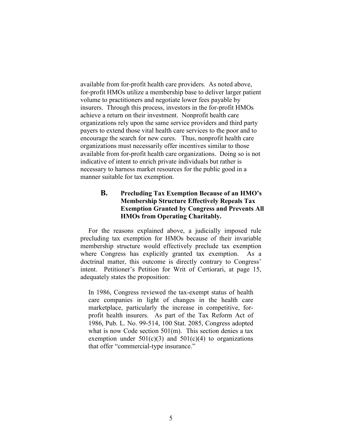available from for-profit health care providers. As noted above, for-profit HMOs utilize a membership base to deliver larger patient volume to practitioners and negotiate lower fees payable by insurers. Through this process, investors in the for-profit HMOs achieve a return on their investment. Nonprofit health care organizations rely upon the same service providers and third party payers to extend those vital health care services to the poor and to encourage the search for new cures. Thus, nonprofit health care organizations must necessarily offer incentives similar to those available from for-profit health care organizations. Doing so is not indicative of intent to enrich private individuals but rather is necessary to harness market resources for the public good in a manner suitable for tax exemption.

#### <span id="page-8-0"></span>**B. Precluding Tax Exemption Because of an HMO's Membership Structure Effectively Repeals Tax Exemption Granted by Congress and Prevents All HMOs from Operating Charitably.**

For the reasons explained above, a judicially imposed rule precluding tax exemption for HMOs because of their invariable membership structure would effectively preclude tax exemption where Congress has explicitly granted tax exemption. As a doctrinal matter, this outcome is directly contrary to Congress' intent. Petitioner's Petition for Writ of Certiorari, at page 15, adequately states the proposition:

In 1986, Congress reviewed the tax-exempt status of health care companies in light of changes in the health care marketplace, particularly the increase in competitive, forprofit health insurers. As part of the Tax Reform Act of 1986, Pub. L. No. 99-514, 100 Stat. 2085, Congress adopted what is now Code section 501(m). This section denies a tax exemption under  $501(c)(3)$  and  $501(c)(4)$  to organizations that offer "commercial-type insurance."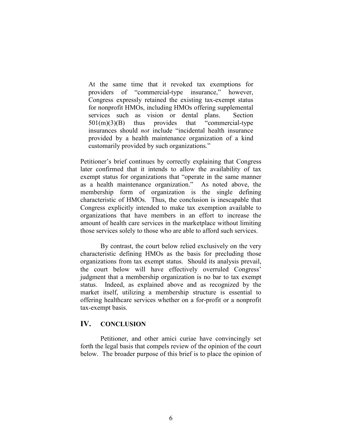At the same time that it revoked tax exemptions for providers of "commercial-type insurance," however, Congress expressly retained the existing tax-exempt status for nonprofit HMOs, including HMOs offering supplemental services such as vision or dental plans. Section 501(m)(3)(B) thus provides that "commercial-type insurances should *not* include "incidental health insurance provided by a health maintenance organization of a kind customarily provided by such organizations."

Petitioner's brief continues by correctly explaining that Congress later confirmed that it intends to allow the availability of tax exempt status for organizations that "operate in the same manner as a health maintenance organization." As noted above, the membership form of organization is the single defining characteristic of HMOs. Thus, the conclusion is inescapable that Congress explicitly intended to make tax exemption available to organizations that have members in an effort to increase the amount of health care services in the marketplace without limiting those services solely to those who are able to afford such services.

By contrast, the court below relied exclusively on the very characteristic defining HMOs as the basis for precluding those organizations from tax exempt status. Should its analysis prevail, the court below will have effectively overruled Congress' judgment that a membership organization is no bar to tax exempt status. Indeed, as explained above and as recognized by the market itself, utilizing a membership structure is essential to offering healthcare services whether on a for-profit or a nonprofit tax-exempt basis.

#### <span id="page-9-0"></span>**IV. CONCLUSION**

Petitioner, and other amici curiae have convincingly set forth the legal basis that compels review of the opinion of the court below. The broader purpose of this brief is to place the opinion of